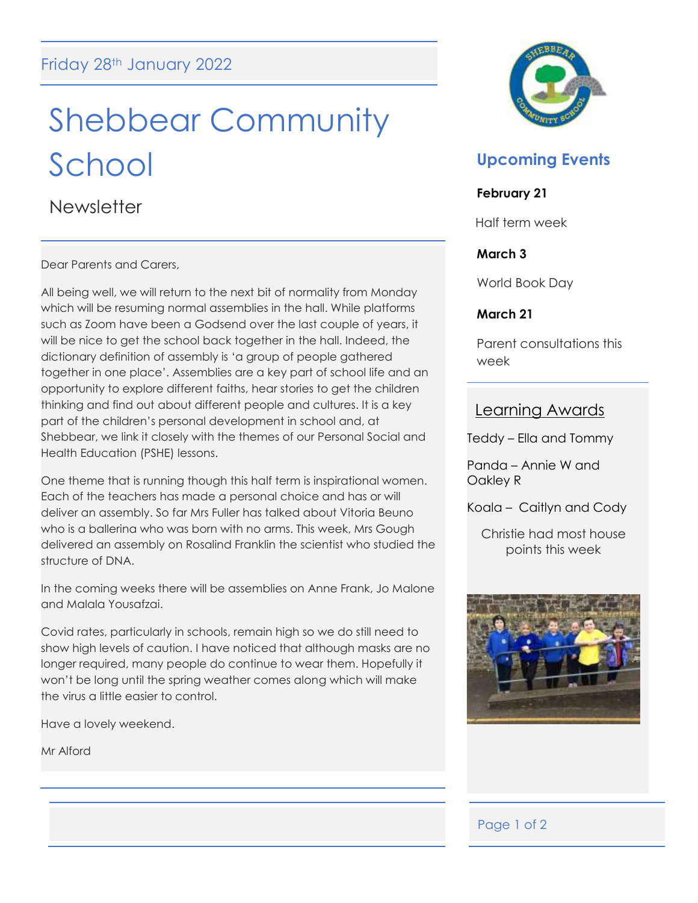# Shebbear Community School

**Newsletter** 

Dear Parents and Carers,

All being well, we will return to the next bit of normality from Monday which will be resuming normal assemblies in the hall. While platforms such as Zoom have been a Godsend over the last couple of years, it will be nice to get the school back together in the hall. Indeed, the dictionary definition of assembly is 'a group of people gathered together in one place'. Assemblies are a key part of school life and an opportunity to explore different faiths, hear stories to get the children thinking and find out about different people and cultures. It is a key part of the children's personal development in school and, at Shebbear, we link it closely with the themes of our Personal Social and Health Education (PSHE) lessons.

One theme that is running though this half term is inspirational women. Each of the teachers has made a personal choice and has or will deliver an assembly. So far Mrs Fuller has talked about Vitoria Beuno who is a ballerina who was born with no arms. This week, Mrs Gough delivered an assembly on Rosalind Franklin the scientist who studied the structure of DNA.

In the coming weeks there will be assemblies on Anne Frank, Jo Malone and Malala Yousafzai.

Covid rates, particularly in schools, remain high so we do still need to show high levels of caution. I have noticed that although masks are no longer required, many people do continue to wear them. Hopefully it won't be long until the spring weather comes along which will make the virus a little easier to control.

Have a lovely weekend.

Mr Alford



# **Upcoming Events**

### **February 21**

Half term week

### **March 3**

World Book Day

### **March 21**

Parent consultations this week

### Learning Awards

Teddy – Ella and Tommy

Panda – Annie W and Oakley R

Koala – Caitlyn and Cody

Christie had most house points this week



## Page 1 of 2

Ξ